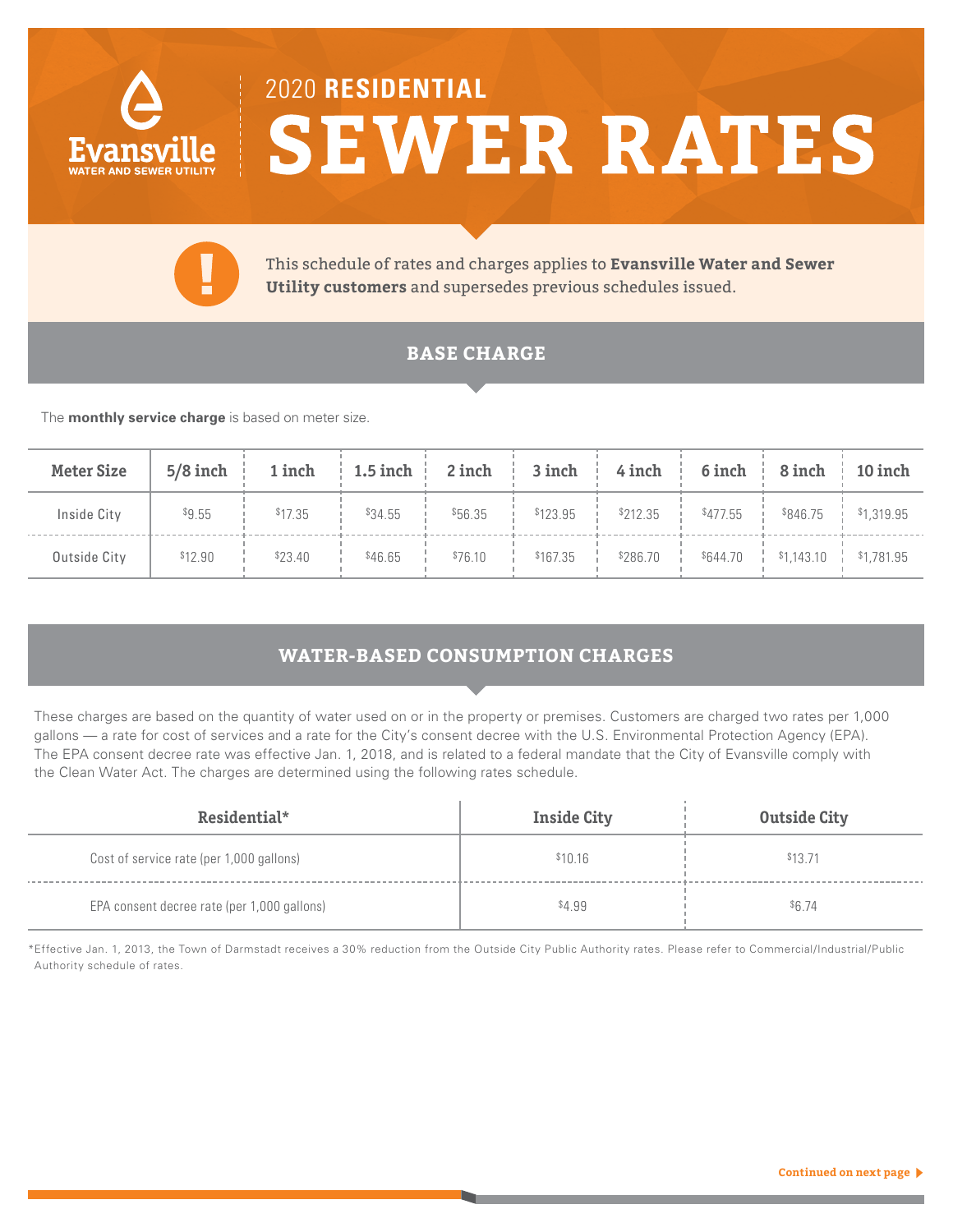

# 2020 **RESIDENTIAL SEWER RATES**



This schedule of rates and charges applies to **Evansville Water and Sewer Utility customers** and supersedes previous schedules issued.

## **BASE CHARGE**

The **monthly service charge** is based on meter size.

| <b>Meter Size</b> | $5/8$ inch |         |         | 1 inch   1.5 inch   2 inch   3 inch   4 inch   6 inch   8 inch   10 inch |                                                                                                                                      |  |  |
|-------------------|------------|---------|---------|--------------------------------------------------------------------------|--------------------------------------------------------------------------------------------------------------------------------------|--|--|
| Inside City       | \$9.55     | \$17.35 | \$34.55 | \$56.35                                                                  | $\frac{1}{2}$ \$123.95 $\frac{1}{2}$ \$212.35 $\frac{1}{2}$ \$477.55 $\frac{1}{2}$ \$846.75 $\frac{1}{2}$ \$1,319.95                 |  |  |
| Outside City      | \$12.90    | \$23.40 | \$46.65 |                                                                          | $$76.10$ $\frac{1}{1}$ $$167.35$ $\frac{1}{1}$ $$286.70$ $\frac{1}{1}$ $$644.70$ $\frac{1}{1}$ $$1,143.10$ $\frac{1}{1}$ $$1,781.95$ |  |  |

## **WATER-BASED CONSUMPTION CHARGES**

These charges are based on the quantity of water used on or in the property or premises. Customers are charged two rates per 1,000 gallons — a rate for cost of services and a rate for the City's consent decree with the U.S. Environmental Protection Agency (EPA). The EPA consent decree rate was effective Jan. 1, 2018, and is related to a federal mandate that the City of Evansville comply with the Clean Water Act. The charges are determined using the following rates schedule.

| Residential*                                | <b>Inside City</b> | <b>Outside City</b> |
|---------------------------------------------|--------------------|---------------------|
| Cost of service rate (per 1,000 gallons)    | \$10.16            | \$13.71             |
| EPA consent decree rate (per 1,000 gallons) | \$4.99             | \$6.74              |

\*Effective Jan. 1, 2013, the Town of Darmstadt receives a 30% reduction from the Outside City Public Authority rates. Please refer to Commercial/Industrial/Public Authority schedule of rates.